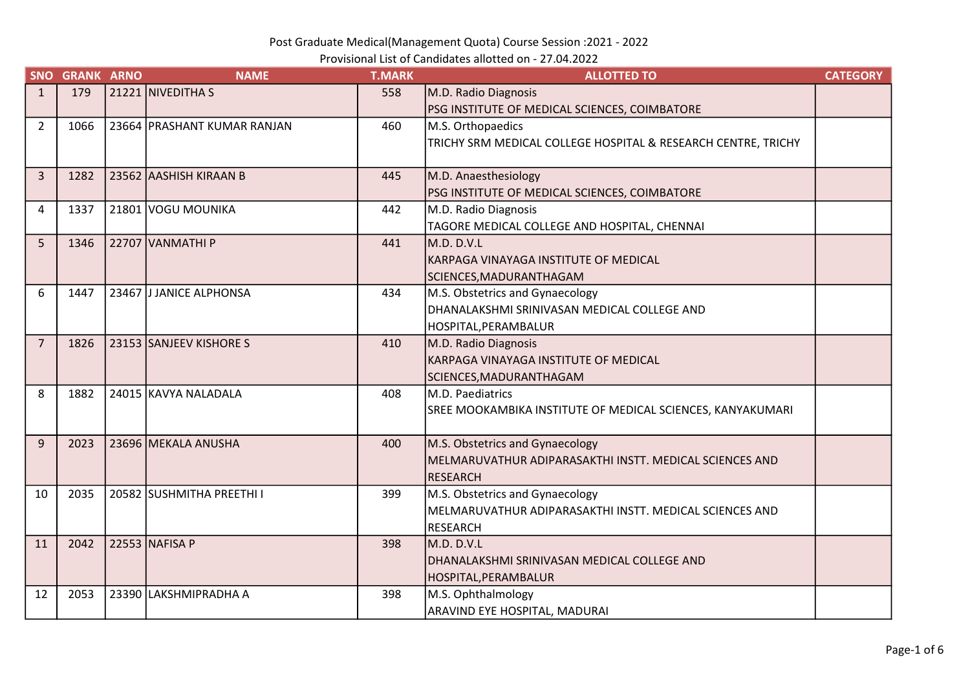Provisional List of Candidates allotted on - 27.04.2022

|                | <b>SNO GRANK ARNO</b> | <b>NAME</b>                 | <b>T.MARK</b> | <b>ALLOTTED TO</b>                                            | <b>CATEGORY</b> |
|----------------|-----------------------|-----------------------------|---------------|---------------------------------------------------------------|-----------------|
| $\mathbf{1}$   | 179                   | 21221 NIVEDITHA S           | 558           | M.D. Radio Diagnosis                                          |                 |
|                |                       |                             |               | PSG INSTITUTE OF MEDICAL SCIENCES, COIMBATORE                 |                 |
| $\overline{2}$ | 1066                  | 23664 PRASHANT KUMAR RANJAN | 460           | M.S. Orthopaedics                                             |                 |
|                |                       |                             |               | TRICHY SRM MEDICAL COLLEGE HOSPITAL & RESEARCH CENTRE, TRICHY |                 |
|                |                       |                             |               |                                                               |                 |
| $\overline{3}$ | 1282                  | 23562 AASHISH KIRAAN B      | 445           | M.D. Anaesthesiology                                          |                 |
|                |                       |                             |               | PSG INSTITUTE OF MEDICAL SCIENCES, COIMBATORE                 |                 |
| 4              | 1337                  | 21801 VOGU MOUNIKA          | 442           | M.D. Radio Diagnosis                                          |                 |
|                |                       |                             |               | TAGORE MEDICAL COLLEGE AND HOSPITAL, CHENNAI                  |                 |
| 5              | 1346                  | 22707 VANMATHI P            | 441           | M.D. D.V.L                                                    |                 |
|                |                       |                             |               | KARPAGA VINAYAGA INSTITUTE OF MEDICAL                         |                 |
|                |                       |                             |               | SCIENCES, MADURANTHAGAM                                       |                 |
| 6              | 1447                  | 23467 JJANICE ALPHONSA      | 434           | M.S. Obstetrics and Gynaecology                               |                 |
|                |                       |                             |               | DHANALAKSHMI SRINIVASAN MEDICAL COLLEGE AND                   |                 |
|                |                       |                             |               | HOSPITAL, PERAMBALUR                                          |                 |
| $\overline{7}$ | 1826                  | 23153 SANJEEV KISHORE S     | 410           | M.D. Radio Diagnosis                                          |                 |
|                |                       |                             |               | KARPAGA VINAYAGA INSTITUTE OF MEDICAL                         |                 |
|                |                       |                             |               | SCIENCES, MADURANTHAGAM                                       |                 |
| 8              | 1882                  | 24015 KAVYA NALADALA        | 408           | M.D. Paediatrics                                              |                 |
|                |                       |                             |               | SREE MOOKAMBIKA INSTITUTE OF MEDICAL SCIENCES, KANYAKUMARI    |                 |
| 9              | 2023                  |                             |               |                                                               |                 |
|                |                       | 23696 MEKALA ANUSHA         | 400           | M.S. Obstetrics and Gynaecology                               |                 |
|                |                       |                             |               | MELMARUVATHUR ADIPARASAKTHI INSTT. MEDICAL SCIENCES AND       |                 |
| 10             | 2035                  | 20582 SUSHMITHA PREETHI I   | 399           | RESEARCH<br>M.S. Obstetrics and Gynaecology                   |                 |
|                |                       |                             |               | MELMARUVATHUR ADIPARASAKTHI INSTT. MEDICAL SCIENCES AND       |                 |
|                |                       |                             |               | <b>RESEARCH</b>                                               |                 |
| 11             | 2042                  | 22553 NAFISA P              | 398           | IM.D. D.V.L                                                   |                 |
|                |                       |                             |               | DHANALAKSHMI SRINIVASAN MEDICAL COLLEGE AND                   |                 |
|                |                       |                             |               | HOSPITAL,PERAMBALUR                                           |                 |
| 12             | 2053                  | 23390 LAKSHMIPRADHA A       | 398           | M.S. Ophthalmology                                            |                 |
|                |                       |                             |               | <b>ARAVIND EYE HOSPITAL, MADURAI</b>                          |                 |
|                |                       |                             |               |                                                               |                 |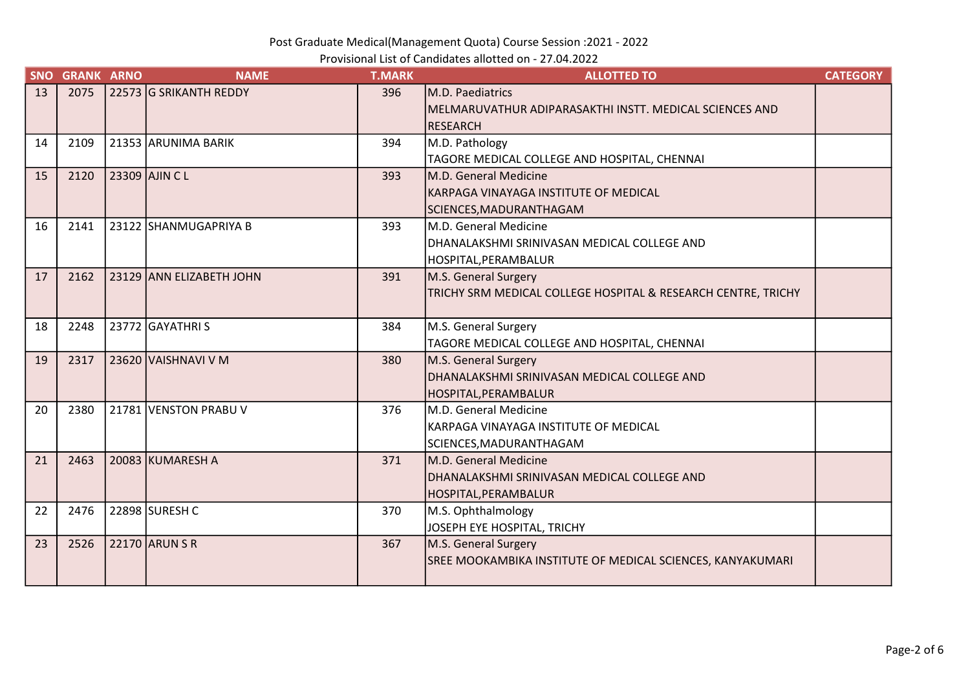Provisional List of Candidates allotted on - 27.04.2022

| <b>SNO</b> | <b>GRANK ARNO</b> | <b>NAME</b>              | <b>T.MARK</b> | <b>ALLOTTED TO</b>                                            | <b>CATEGORY</b> |
|------------|-------------------|--------------------------|---------------|---------------------------------------------------------------|-----------------|
| 13         | 2075              | 22573 G SRIKANTH REDDY   | 396           | M.D. Paediatrics                                              |                 |
|            |                   |                          |               | MELMARUVATHUR ADIPARASAKTHI INSTT. MEDICAL SCIENCES AND       |                 |
|            |                   |                          |               | RESEARCH                                                      |                 |
| 14         | 2109              | 21353 ARUNIMA BARIK      | 394           | M.D. Pathology                                                |                 |
|            |                   |                          |               | TAGORE MEDICAL COLLEGE AND HOSPITAL, CHENNAI                  |                 |
| 15         | 2120              | 23309 AJIN C L           | 393           | M.D. General Medicine                                         |                 |
|            |                   |                          |               | KARPAGA VINAYAGA INSTITUTE OF MEDICAL                         |                 |
|            |                   |                          |               | SCIENCES, MADURANTHAGAM                                       |                 |
| 16         | 2141              | 23122 SHANMUGAPRIYA B    | 393           | M.D. General Medicine                                         |                 |
|            |                   |                          |               | DHANALAKSHMI SRINIVASAN MEDICAL COLLEGE AND                   |                 |
|            |                   |                          |               | HOSPITAL, PERAMBALUR                                          |                 |
| 17         | 2162              | 23129 ANN ELIZABETH JOHN | 391           | M.S. General Surgery                                          |                 |
|            |                   |                          |               | TRICHY SRM MEDICAL COLLEGE HOSPITAL & RESEARCH CENTRE, TRICHY |                 |
|            |                   |                          |               |                                                               |                 |
| 18         | 2248              | 23772 GAYATHRIS          | 384           | M.S. General Surgery                                          |                 |
|            |                   |                          |               | TAGORE MEDICAL COLLEGE AND HOSPITAL, CHENNAI                  |                 |
| 19         | 2317              | 23620 VAISHNAVI V M      | 380           | M.S. General Surgery                                          |                 |
|            |                   |                          |               | DHANALAKSHMI SRINIVASAN MEDICAL COLLEGE AND                   |                 |
|            |                   |                          |               | HOSPITAL,PERAMBALUR                                           |                 |
| 20         | 2380              | 21781 VENSTON PRABU V    | 376           | M.D. General Medicine                                         |                 |
|            |                   |                          |               | KARPAGA VINAYAGA INSTITUTE OF MEDICAL                         |                 |
|            |                   |                          |               | SCIENCES, MADURANTHAGAM                                       |                 |
| 21         | 2463              | 20083 KUMARESH A         | 371           | M.D. General Medicine                                         |                 |
|            |                   |                          |               | DHANALAKSHMI SRINIVASAN MEDICAL COLLEGE AND                   |                 |
|            |                   |                          |               | HOSPITAL,PERAMBALUR                                           |                 |
| 22         | 2476              | 22898  SURESH C          | 370           | M.S. Ophthalmology                                            |                 |
|            |                   |                          |               | JOSEPH EYE HOSPITAL, TRICHY                                   |                 |
| 23         | 2526              | 22170 ARUN S R           | 367           | M.S. General Surgery                                          |                 |
|            |                   |                          |               | SREE MOOKAMBIKA INSTITUTE OF MEDICAL SCIENCES, KANYAKUMARI    |                 |
|            |                   |                          |               |                                                               |                 |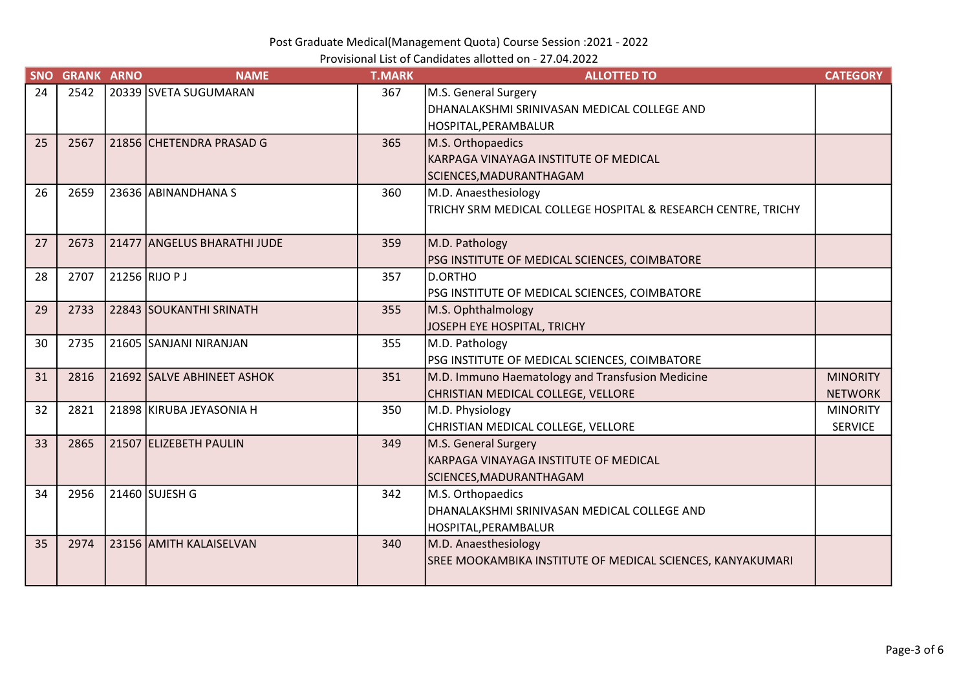Provisional List of Candidates allotted on - 27.04.2022

| <b>SNO</b> | <b>GRANK ARNO</b> | <b>NAME</b>                 | <b>T.MARK</b> | <b>ALLOTTED TO</b>                                            | <b>CATEGORY</b> |
|------------|-------------------|-----------------------------|---------------|---------------------------------------------------------------|-----------------|
| 24         | 2542              | 20339 SVETA SUGUMARAN       | 367           | M.S. General Surgery                                          |                 |
|            |                   |                             |               | DHANALAKSHMI SRINIVASAN MEDICAL COLLEGE AND                   |                 |
|            |                   |                             |               | HOSPITAL, PERAMBALUR                                          |                 |
| 25         | 2567              | 21856 CHETENDRA PRASAD G    | 365           | M.S. Orthopaedics                                             |                 |
|            |                   |                             |               | KARPAGA VINAYAGA INSTITUTE OF MEDICAL                         |                 |
|            |                   |                             |               | SCIENCES, MADURANTHAGAM                                       |                 |
| 26         | 2659              | 23636 ABINANDHANA S         | 360           | M.D. Anaesthesiology                                          |                 |
|            |                   |                             |               | TRICHY SRM MEDICAL COLLEGE HOSPITAL & RESEARCH CENTRE, TRICHY |                 |
|            |                   |                             |               |                                                               |                 |
| 27         | 2673              | 21477 ANGELUS BHARATHI JUDE | 359           | M.D. Pathology                                                |                 |
|            |                   |                             |               | PSG INSTITUTE OF MEDICAL SCIENCES, COIMBATORE                 |                 |
| 28         | 2707              | 21256 RIJO P J              | 357           | D.ORTHO                                                       |                 |
|            |                   |                             |               | PSG INSTITUTE OF MEDICAL SCIENCES, COIMBATORE                 |                 |
| 29         | 2733              | 22843 SOUKANTHI SRINATH     | 355           | M.S. Ophthalmology                                            |                 |
|            |                   |                             |               | JOSEPH EYE HOSPITAL, TRICHY                                   |                 |
| 30         | 2735              | 21605 SANJANI NIRANJAN      | 355           | M.D. Pathology                                                |                 |
|            |                   |                             |               | PSG INSTITUTE OF MEDICAL SCIENCES, COIMBATORE                 |                 |
| 31         | 2816              | 21692 SALVE ABHINEET ASHOK  | 351           | M.D. Immuno Haematology and Transfusion Medicine              | <b>MINORITY</b> |
|            |                   |                             |               | CHRISTIAN MEDICAL COLLEGE, VELLORE                            | <b>NETWORK</b>  |
| 32         | 2821              | 21898 KIRUBA JEYASONIA H    | 350           | M.D. Physiology                                               | <b>MINORITY</b> |
|            |                   |                             |               | CHRISTIAN MEDICAL COLLEGE, VELLORE                            | <b>SERVICE</b>  |
| 33         | 2865              | 21507 ELIZEBETH PAULIN      | 349           | M.S. General Surgery                                          |                 |
|            |                   |                             |               | KARPAGA VINAYAGA INSTITUTE OF MEDICAL                         |                 |
|            |                   |                             |               | SCIENCES, MADURANTHAGAM                                       |                 |
| 34         | 2956              | 21460 SUJESH G              | 342           | M.S. Orthopaedics                                             |                 |
|            |                   |                             |               | DHANALAKSHMI SRINIVASAN MEDICAL COLLEGE AND                   |                 |
|            |                   |                             |               | HOSPITAL, PERAMBALUR                                          |                 |
| 35         | 2974              | 23156 AMITH KALAISELVAN     | 340           | M.D. Anaesthesiology                                          |                 |
|            |                   |                             |               | SREE MOOKAMBIKA INSTITUTE OF MEDICAL SCIENCES, KANYAKUMARI    |                 |
|            |                   |                             |               |                                                               |                 |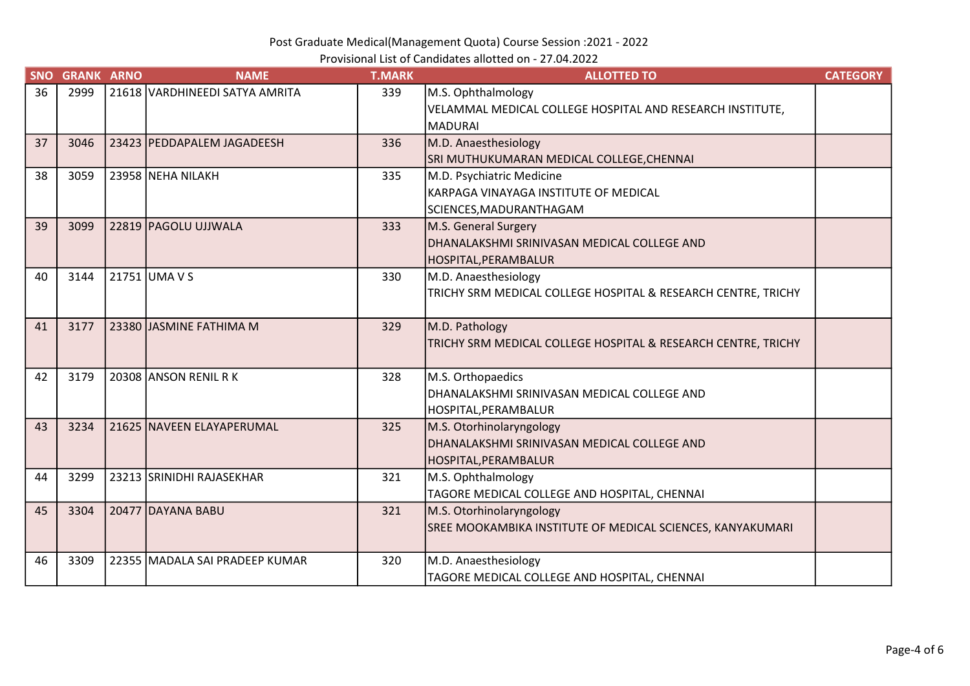Provisional List of Candidates allotted on - 27.04.2022

| <b>SNO</b> | <b>GRANK ARNO</b> | <b>NAME</b>                    | <b>T.MARK</b> | <b>ALLOTTED TO</b>                                            | <b>CATEGORY</b> |
|------------|-------------------|--------------------------------|---------------|---------------------------------------------------------------|-----------------|
| 36         | 2999              | 21618 VARDHINEEDI SATYA AMRITA | 339           | M.S. Ophthalmology                                            |                 |
|            |                   |                                |               | VELAMMAL MEDICAL COLLEGE HOSPITAL AND RESEARCH INSTITUTE,     |                 |
|            |                   |                                |               | <b>MADURAI</b>                                                |                 |
| 37         | 3046              | 23423 PEDDAPALEM JAGADEESH     | 336           | M.D. Anaesthesiology                                          |                 |
|            |                   |                                |               | SRI MUTHUKUMARAN MEDICAL COLLEGE, CHENNAI                     |                 |
| 38         | 3059              | 23958 NEHA NILAKH              | 335           | M.D. Psychiatric Medicine                                     |                 |
|            |                   |                                |               | KARPAGA VINAYAGA INSTITUTE OF MEDICAL                         |                 |
|            |                   |                                |               | SCIENCES, MADURANTHAGAM                                       |                 |
| 39         | 3099              | 22819 PAGOLU UJJWALA           | 333           | M.S. General Surgery                                          |                 |
|            |                   |                                |               | DHANALAKSHMI SRINIVASAN MEDICAL COLLEGE AND                   |                 |
|            |                   |                                |               | HOSPITAL,PERAMBALUR                                           |                 |
| 40         | 3144              | 21751 UMA V S                  | 330           | M.D. Anaesthesiology                                          |                 |
|            |                   |                                |               | TRICHY SRM MEDICAL COLLEGE HOSPITAL & RESEARCH CENTRE, TRICHY |                 |
|            |                   |                                |               |                                                               |                 |
| 41         | 3177              | 23380 JJASMINE FATHIMA M       | 329           | M.D. Pathology                                                |                 |
|            |                   |                                |               | TRICHY SRM MEDICAL COLLEGE HOSPITAL & RESEARCH CENTRE, TRICHY |                 |
|            |                   |                                |               |                                                               |                 |
| 42         | 3179              | 20308 ANSON RENIL RK           | 328           | M.S. Orthopaedics                                             |                 |
|            |                   |                                |               | DHANALAKSHMI SRINIVASAN MEDICAL COLLEGE AND                   |                 |
|            |                   |                                |               | HOSPITAL, PERAMBALUR                                          |                 |
| 43         | 3234              | 21625 NAVEEN ELAYAPERUMAL      | 325           | M.S. Otorhinolaryngology                                      |                 |
|            |                   |                                |               | DHANALAKSHMI SRINIVASAN MEDICAL COLLEGE AND                   |                 |
|            |                   |                                |               | HOSPITAL,PERAMBALUR                                           |                 |
| 44         | 3299              | 23213 SRINIDHI RAJASEKHAR      | 321           | M.S. Ophthalmology                                            |                 |
|            |                   |                                |               | TAGORE MEDICAL COLLEGE AND HOSPITAL, CHENNAI                  |                 |
| 45         | 3304              | 20477 DAYANA BABU              | 321           | M.S. Otorhinolaryngology                                      |                 |
|            |                   |                                |               | SREE MOOKAMBIKA INSTITUTE OF MEDICAL SCIENCES, KANYAKUMARI    |                 |
|            |                   |                                |               |                                                               |                 |
| 46         | 3309              | 22355 MADALA SAI PRADEEP KUMAR | 320           | M.D. Anaesthesiology                                          |                 |
|            |                   |                                |               | TAGORE MEDICAL COLLEGE AND HOSPITAL, CHENNAI                  |                 |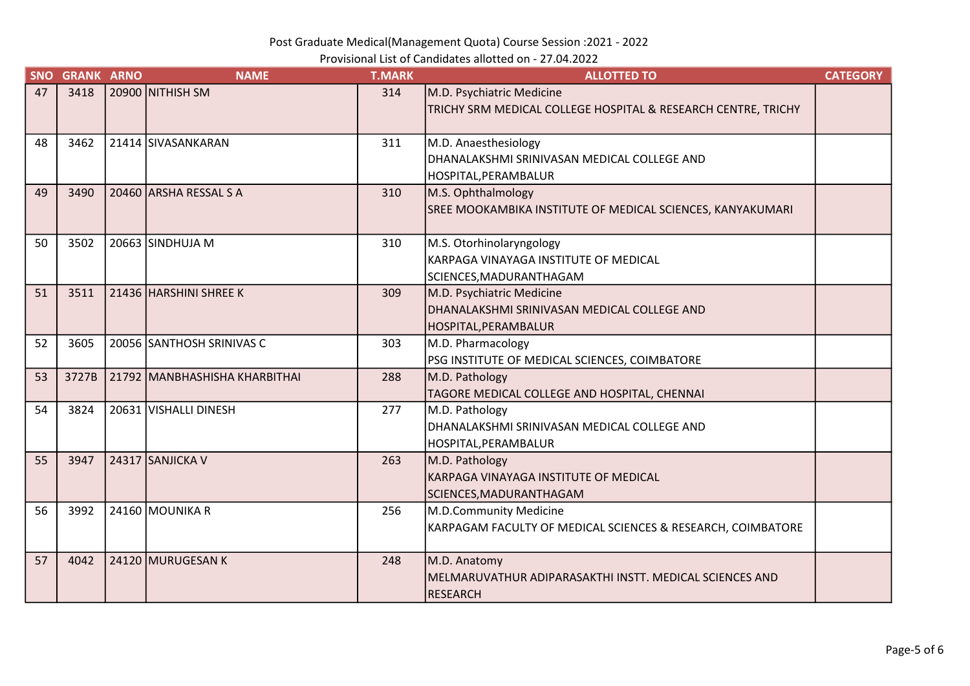Provisional List of Candidates allotted on - 27.04.2022

| <b>SNO</b> | <b>GRANK ARNO</b> | <b>NAME</b>                             | <b>T.MARK</b> | <b>ALLOTTED TO</b>                                                                         | <b>CATEGORY</b> |
|------------|-------------------|-----------------------------------------|---------------|--------------------------------------------------------------------------------------------|-----------------|
| 47         | 3418              | 20900 NITHISH SM                        | 314           | M.D. Psychiatric Medicine<br>TRICHY SRM MEDICAL COLLEGE HOSPITAL & RESEARCH CENTRE, TRICHY |                 |
|            |                   |                                         |               |                                                                                            |                 |
| 48         | 3462              | 21414 SIVASANKARAN                      | 311           | M.D. Anaesthesiology                                                                       |                 |
|            |                   |                                         |               | DHANALAKSHMI SRINIVASAN MEDICAL COLLEGE AND                                                |                 |
|            |                   |                                         |               | HOSPITAL, PERAMBALUR                                                                       |                 |
| 49         | 3490              | 20460 ARSHA RESSAL S A                  | 310           | M.S. Ophthalmology                                                                         |                 |
|            |                   |                                         |               | SREE MOOKAMBIKA INSTITUTE OF MEDICAL SCIENCES, KANYAKUMARI                                 |                 |
| 50         | 3502              | 20663 SINDHUJA M                        | 310           | M.S. Otorhinolaryngology                                                                   |                 |
|            |                   |                                         |               | KARPAGA VINAYAGA INSTITUTE OF MEDICAL                                                      |                 |
|            |                   |                                         |               | SCIENCES, MADURANTHAGAM                                                                    |                 |
| 51         | 3511              | 21436 HARSHINI SHREE K                  | 309           | M.D. Psychiatric Medicine                                                                  |                 |
|            |                   |                                         |               | DHANALAKSHMI SRINIVASAN MEDICAL COLLEGE AND                                                |                 |
|            |                   |                                         |               | HOSPITAL, PERAMBALUR                                                                       |                 |
| 52         | 3605              | 20056 SANTHOSH SRINIVAS C               | 303           | M.D. Pharmacology                                                                          |                 |
|            |                   |                                         |               | PSG INSTITUTE OF MEDICAL SCIENCES, COIMBATORE                                              |                 |
| 53         |                   | 3727B   21792   MANBHASHISHA KHARBITHAI | 288           | M.D. Pathology                                                                             |                 |
|            |                   |                                         |               | TAGORE MEDICAL COLLEGE AND HOSPITAL, CHENNAI                                               |                 |
| 54         | 3824              | 20631 VISHALLI DINESH                   | 277           | M.D. Pathology                                                                             |                 |
|            |                   |                                         |               | DHANALAKSHMI SRINIVASAN MEDICAL COLLEGE AND                                                |                 |
|            |                   |                                         |               | HOSPITAL, PERAMBALUR                                                                       |                 |
| 55         | 3947              | 24317 SANJICKA V                        | 263           | M.D. Pathology                                                                             |                 |
|            |                   |                                         |               | KARPAGA VINAYAGA INSTITUTE OF MEDICAL                                                      |                 |
|            |                   |                                         |               | SCIENCES, MADURANTHAGAM                                                                    |                 |
| 56         | 3992              | 24160 MOUNIKA R                         | 256           | M.D.Community Medicine                                                                     |                 |
|            |                   |                                         |               | KARPAGAM FACULTY OF MEDICAL SCIENCES & RESEARCH, COIMBATORE                                |                 |
| 57         | 4042              | 24120 MURUGESAN K                       | 248           | M.D. Anatomy                                                                               |                 |
|            |                   |                                         |               | MELMARUVATHUR ADIPARASAKTHI INSTT. MEDICAL SCIENCES AND                                    |                 |
|            |                   |                                         |               | <b>RESEARCH</b>                                                                            |                 |